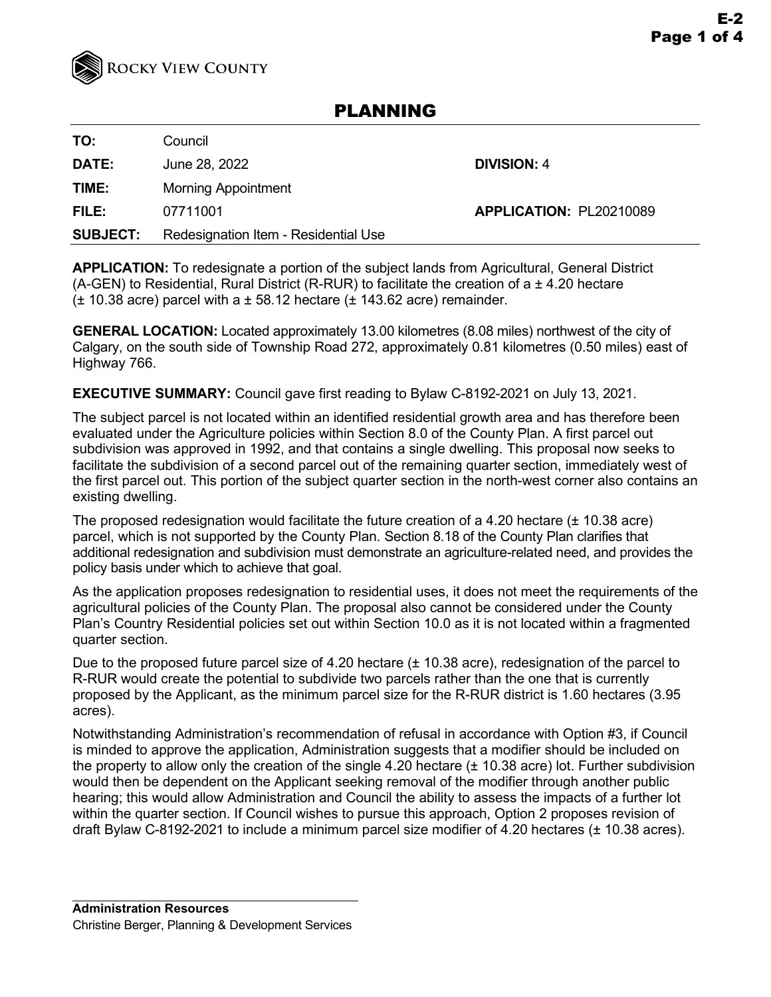

# PLANNING

**TO:** Council

**DATE:** June 28, 2022 **DIVISION:** 4

**TIME:** Morning Appointment

**FILE:** 07711001 **APPLICATION:** PL20210089

**SUBJECT:** Redesignation Item - Residential Use

**APPLICATION:** To redesignate a portion of the subject lands from Agricultural, General District (A-GEN) to Residential, Rural District (R-RUR) to facilitate the creation of a  $\pm$  4.20 hectare  $(± 10.38$  acre) parcel with a  $± 58.12$  hectare  $(± 143.62$  acre) remainder.

**GENERAL LOCATION:** Located approximately 13.00 kilometres (8.08 miles) northwest of the city of Calgary, on the south side of Township Road 272, approximately 0.81 kilometres (0.50 miles) east of Highway 766.

## **EXECUTIVE SUMMARY:** Council gave first reading to Bylaw C-8192-2021 on July 13, 2021.

The subject parcel is not located within an identified residential growth area and has therefore been evaluated under the Agriculture policies within Section 8.0 of the County Plan. A first parcel out subdivision was approved in 1992, and that contains a single dwelling. This proposal now seeks to facilitate the subdivision of a second parcel out of the remaining quarter section, immediately west of the first parcel out. This portion of the subject quarter section in the north-west corner also contains an existing dwelling.

The proposed redesignation would facilitate the future creation of a 4.20 hectare  $(\pm 10.38 \text{ acre})$ parcel, which is not supported by the County Plan. Section 8.18 of the County Plan clarifies that additional redesignation and subdivision must demonstrate an agriculture-related need, and provides the policy basis under which to achieve that goal.

As the application proposes redesignation to residential uses, it does not meet the requirements of the agricultural policies of the County Plan. The proposal also cannot be considered under the County Plan's Country Residential policies set out within Section 10.0 as it is not located within a fragmented quarter section.

Due to the proposed future parcel size of 4.20 hectare (± 10.38 acre), redesignation of the parcel to R-RUR would create the potential to subdivide two parcels rather than the one that is currently proposed by the Applicant, as the minimum parcel size for the R-RUR district is 1.60 hectares (3.95 acres).

Notwithstanding Administration's recommendation of refusal in accordance with Option #3, if Council is minded to approve the application, Administration suggests that a modifier should be included on the property to allow only the creation of the single 4.20 hectare  $(\pm 10.38$  acre) lot. Further subdivision would then be dependent on the Applicant seeking removal of the modifier through another public hearing; this would allow Administration and Council the ability to assess the impacts of a further lot within the quarter section. If Council wishes to pursue this approach, Option 2 proposes revision of draft Bylaw C-8192-2021 to include a minimum parcel size modifier of 4.20 hectares (± 10.38 acres).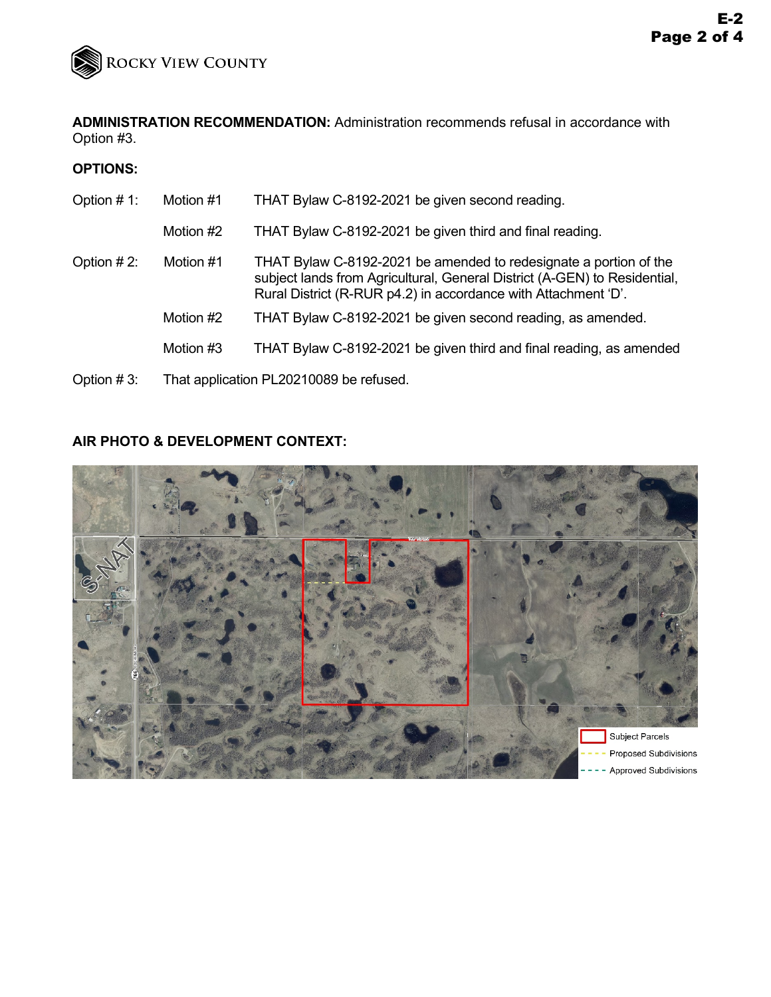

**ADMINISTRATION RECOMMENDATION:** Administration recommends refusal in accordance with Option #3.

## **OPTIONS:**

| Option $# 1$ : | Motion #1                               | THAT Bylaw C-8192-2021 be given second reading.                                                                                                                                                                  |
|----------------|-----------------------------------------|------------------------------------------------------------------------------------------------------------------------------------------------------------------------------------------------------------------|
|                | Motion #2                               | THAT Bylaw C-8192-2021 be given third and final reading.                                                                                                                                                         |
| Option $#2$ :  | Motion #1                               | THAT Bylaw C-8192-2021 be amended to redesignate a portion of the<br>subject lands from Agricultural, General District (A-GEN) to Residential,<br>Rural District (R-RUR p4.2) in accordance with Attachment 'D'. |
|                | Motion #2                               | THAT Bylaw C-8192-2021 be given second reading, as amended.                                                                                                                                                      |
|                | Motion #3                               | THAT Bylaw C-8192-2021 be given third and final reading, as amended                                                                                                                                              |
| Option $#3$ :  | That application PL20210089 be refused. |                                                                                                                                                                                                                  |

## **AIR PHOTO & DEVELOPMENT CONTEXT:**

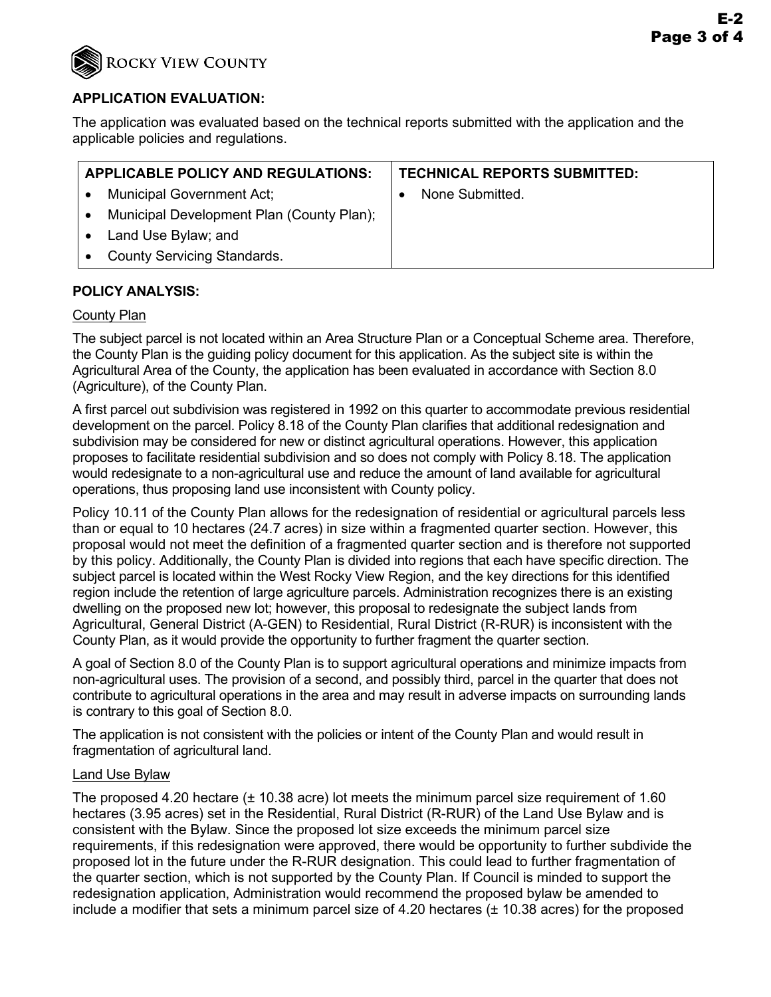

## **APPLICATION EVALUATION:**

The application was evaluated based on the technical reports submitted with the application and the applicable policies and regulations.

| <b>APPLICABLE POLICY AND REGULATIONS:</b>              | <b>TECHNICAL REPORTS SUBMITTED:</b> |
|--------------------------------------------------------|-------------------------------------|
| <b>Municipal Government Act;</b>                       | None Submitted.                     |
| Municipal Development Plan (County Plan);<br>$\bullet$ |                                     |
| Land Use Bylaw; and<br>$\bullet$                       |                                     |
| <b>County Servicing Standards.</b><br>$\bullet$        |                                     |
|                                                        |                                     |

#### **POLICY ANALYSIS:**

#### County Plan

The subject parcel is not located within an Area Structure Plan or a Conceptual Scheme area. Therefore, the County Plan is the guiding policy document for this application. As the subject site is within the Agricultural Area of the County, the application has been evaluated in accordance with Section 8.0 (Agriculture), of the County Plan.

A first parcel out subdivision was registered in 1992 on this quarter to accommodate previous residential development on the parcel. Policy 8.18 of the County Plan clarifies that additional redesignation and subdivision may be considered for new or distinct agricultural operations. However, this application proposes to facilitate residential subdivision and so does not comply with Policy 8.18. The application would redesignate to a non-agricultural use and reduce the amount of land available for agricultural operations, thus proposing land use inconsistent with County policy.

Policy 10.11 of the County Plan allows for the redesignation of residential or agricultural parcels less than or equal to 10 hectares (24.7 acres) in size within a fragmented quarter section. However, this proposal would not meet the definition of a fragmented quarter section and is therefore not supported by this policy. Additionally, the County Plan is divided into regions that each have specific direction. The subject parcel is located within the West Rocky View Region, and the key directions for this identified region include the retention of large agriculture parcels. Administration recognizes there is an existing dwelling on the proposed new lot; however, this proposal to redesignate the subject lands from Agricultural, General District (A-GEN) to Residential, Rural District (R-RUR) is inconsistent with the County Plan, as it would provide the opportunity to further fragment the quarter section.

A goal of Section 8.0 of the County Plan is to support agricultural operations and minimize impacts from non-agricultural uses. The provision of a second, and possibly third, parcel in the quarter that does not contribute to agricultural operations in the area and may result in adverse impacts on surrounding lands is contrary to this goal of Section 8.0.

The application is not consistent with the policies or intent of the County Plan and would result in fragmentation of agricultural land.

#### Land Use Bylaw

The proposed 4.20 hectare  $(\pm 10.38 \text{ acre})$  lot meets the minimum parcel size requirement of 1.60 hectares (3.95 acres) set in the Residential, Rural District (R-RUR) of the Land Use Bylaw and is consistent with the Bylaw. Since the proposed lot size exceeds the minimum parcel size requirements, if this redesignation were approved, there would be opportunity to further subdivide the proposed lot in the future under the R-RUR designation. This could lead to further fragmentation of the quarter section, which is not supported by the County Plan. If Council is minded to support the redesignation application, Administration would recommend the proposed bylaw be amended to include a modifier that sets a minimum parcel size of 4.20 hectares (± 10.38 acres) for the proposed